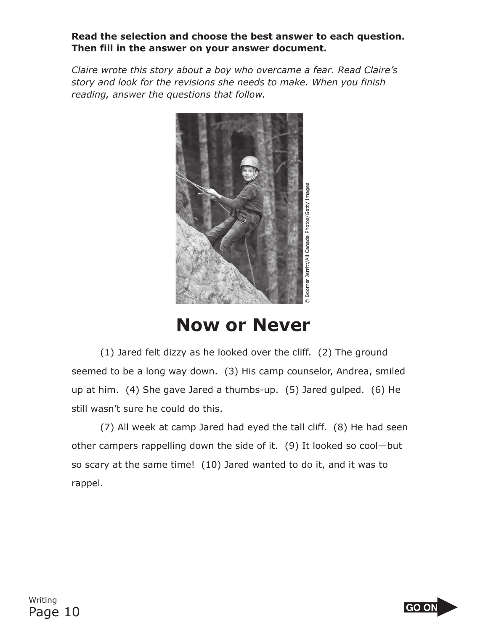## **Read the selection and choose the best answer to each question. Then fill in the answer on your answer document.**

*Claire wrote this story about a boy who overcame a fear. Read Claire's story and look for the revisions she needs to make. When you finish reading, answer the questions that follow.*



**Now or Never**

(1) Jared felt dizzy as he looked over the cliff. (2) The ground seemed to be a long way down. (3) His camp counselor, Andrea, smiled up at him. (4) She gave Jared a thumbs-up. (5) Jared gulped. (6) He still wasn't sure he could do this.

(7) All week at camp Jared had eyed the tall cliff. (8) He had seen other campers rappelling down the side of it. (9) It looked so cool—but so scary at the same time! (10) Jared wanted to do it, and it was to rappel.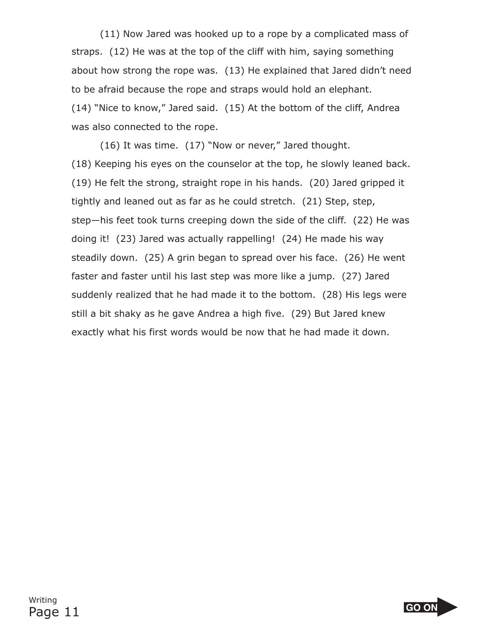(11) Now Jared was hooked up to a rope by a complicated mass of straps. (12) He was at the top of the cliff with him, saying something about how strong the rope was. (13) He explained that Jared didn't need to be afraid because the rope and straps would hold an elephant. (14) "Nice to know," Jared said. (15) At the bottom of the cliff, Andrea was also connected to the rope.

(16) It was time. (17) "Now or never," Jared thought. (18) Keeping his eyes on the counselor at the top, he slowly leaned back. (19) He felt the strong, straight rope in his hands. (20) Jared gripped it tightly and leaned out as far as he could stretch. (21) Step, step, step—his feet took turns creeping down the side of the cliff. (22) He was doing it! (23) Jared was actually rappelling! (24) He made his way steadily down. (25) A grin began to spread over his face. (26) He went faster and faster until his last step was more like a jump. (27) Jared suddenly realized that he had made it to the bottom. (28) His legs were still a bit shaky as he gave Andrea a high five. (29) But Jared knew exactly what his first words would be now that he had made it down.

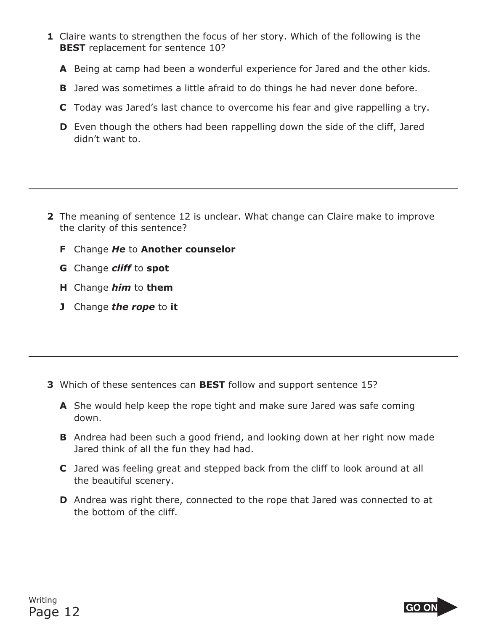- **1** Claire wants to strengthen the focus of her story. Which of the following is the **BEST** replacement for sentence 10?
	- **<sup>A</sup>** Being at camp had been a wonderful experience for Jared and the other kids.
	- **<sup>B</sup>** Jared was sometimes a little afraid to do things he had never done before.
	- **<sup>C</sup>** Today was Jared's last chance to overcome his fear and give rappelling a try.
	- **D** Even though the others had been rappelling down the side of the cliff, Jared didn't want to didn't want to.
- **2** The meaning of sentence 12 is unclear. What change can Claire make to improve the clarity of this sentence?  $\frac{1}{\sqrt{2}}$ 
	- **<sup>F</sup>** Change *He* to **Another counselor**
	- **<sup>G</sup>** Change *cliff* to **spot**
	- **<sup>H</sup>** Change *him* to **them**
	- **<sup>J</sup>** Change *the rope* to **it**

- **3** Which of these sentences can **BEST** follow and support sentence 15?
	- **A** She would help keep the rope tight and make sure Jared was safe coming down. down.
	- **B** Andrea had been such a good friend, and looking down at her right now made Jared think of all the fun they had had. Jared think of all the fun they had had.
	- **C** Jared was feeling great and stepped back from the cliff to look around at all the beautiful scenery. the beautiful scenery.
	- **D** Andrea was right there, connected to the rope that Jared was connected to at the bottom of the cliff. the bottom of the cliff.